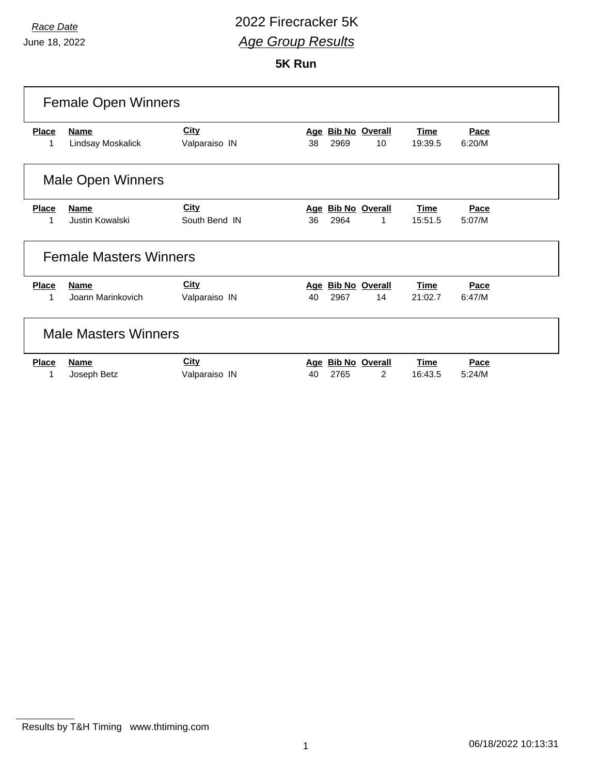## *Race Date* 2022 Firecracker 5K *Age Group Results*

**5K Run**

| <b>Female Open Winners</b>    |                   |               |     |      |                       |             |        |  |  |
|-------------------------------|-------------------|---------------|-----|------|-----------------------|-------------|--------|--|--|
| <b>Place</b>                  | <b>Name</b>       | <b>City</b>   | Age |      | <b>Bib No Overall</b> | <b>Time</b> | Pace   |  |  |
| 1                             | Lindsay Moskalick | Valparaiso IN | 38  | 2969 | 10                    | 19:39.5     | 6:20/M |  |  |
| <b>Male Open Winners</b>      |                   |               |     |      |                       |             |        |  |  |
| <b>Place</b>                  | <b>Name</b>       | <b>City</b>   |     |      | Age Bib No Overall    | <b>Time</b> | Pace   |  |  |
|                               | Justin Kowalski   | South Bend IN | 36  | 2964 | 1                     | 15:51.5     | 5:07/M |  |  |
| <b>Female Masters Winners</b> |                   |               |     |      |                       |             |        |  |  |
| <b>Place</b>                  | <b>Name</b>       | <b>City</b>   | Age |      | <b>Bib No Overall</b> | <b>Time</b> | Pace   |  |  |
| 1                             | Joann Marinkovich | Valparaiso IN | 40  | 2967 | 14                    | 21:02.7     | 6:47/M |  |  |
| <b>Male Masters Winners</b>   |                   |               |     |      |                       |             |        |  |  |
| <b>Place</b>                  | <b>Name</b>       | <b>City</b>   | Age |      | <b>Bib No Overall</b> | <b>Time</b> | Pace   |  |  |
| 1                             | Joseph Betz       | Valparaiso IN | 40  | 2765 | $\overline{2}$        | 16:43.5     | 5:24/M |  |  |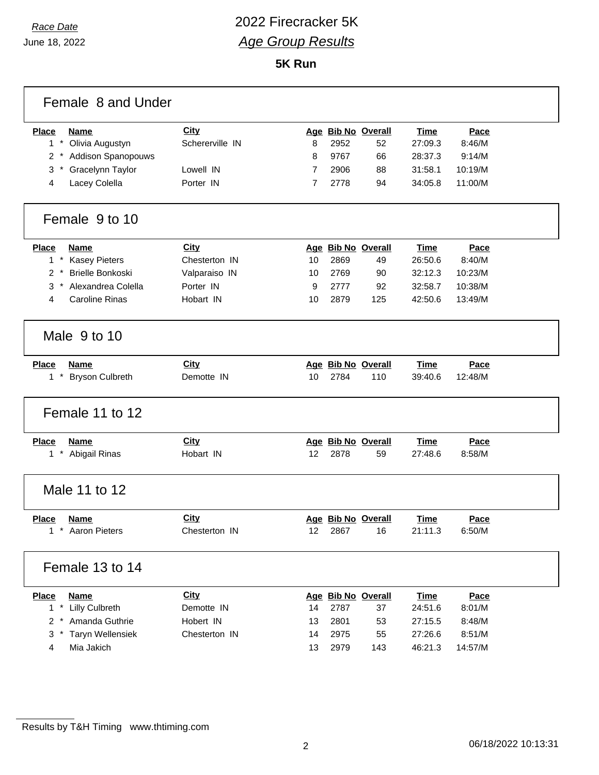June 18, 2022

## *Race Date* 2022 Firecracker 5K *Age Group Results*

**5K Run**

| <b>Place</b><br><b>Name</b>                           | City                         |    |      | Age Bib No Overall       | <b>Time</b>            | Pace           |  |
|-------------------------------------------------------|------------------------------|----|------|--------------------------|------------------------|----------------|--|
| $1 *$<br>Olivia Augustyn                              | Schererville IN              | 8  | 2952 | 52                       | 27:09.3                | 8:46/M         |  |
| 2 * Addison Spanopouws                                |                              | 8  | 9767 | 66                       | 28:37.3                | 9:14/M         |  |
| Gracelynn Taylor<br>3                                 | Lowell IN                    | 7  | 2906 | 88                       | 31:58.1                | 10:19/M        |  |
| Lacey Colella<br>4                                    | Porter IN                    | 7  | 2778 | 94                       | 34:05.8                | 11:00/M        |  |
| Female 9 to 10                                        |                              |    |      |                          |                        |                |  |
| <b>Place</b><br>Name                                  | <b>City</b>                  |    |      | Age Bib No Overall       | Time                   | Pace           |  |
| 1 * Kasey Pieters                                     | Chesterton IN                | 10 | 2869 | 49                       | 26:50.6                | 8:40/M         |  |
| <b>Brielle Bonkoski</b><br>$2^*$                      | Valparaiso IN                | 10 | 2769 | 90                       | 32:12.3                | 10:23/M        |  |
| Alexandrea Colella<br>3<br>$\star$                    | Porter IN                    | 9  | 2777 | 92                       | 32:58.7                | 10:38/M        |  |
| <b>Caroline Rinas</b><br>4                            | Hobart IN                    | 10 | 2879 | 125                      | 42:50.6                | 13:49/M        |  |
| Male 9 to 10                                          |                              |    |      |                          |                        |                |  |
| <b>Place</b><br><b>Name</b>                           | <b>City</b>                  |    |      | Age Bib No Overall       | <b>Time</b>            | Pace           |  |
| $1 *$                                                 |                              |    |      |                          |                        |                |  |
| <b>Bryson Culbreth</b>                                | Demotte IN                   | 10 | 2784 | 110                      | 39:40.6                | 12:48/M        |  |
| Female 11 to 12                                       |                              |    |      |                          |                        |                |  |
|                                                       |                              |    |      |                          |                        |                |  |
| <b>Place</b><br><b>Name</b><br>$1 *$<br>Abigail Rinas | <b>City</b><br>Hobart IN     | 12 | 2878 | Age Bib No Overall<br>59 | Time<br>27:48.6        | Pace<br>8:58/M |  |
| Male 11 to 12                                         |                              |    |      |                          |                        |                |  |
|                                                       |                              |    |      |                          |                        |                |  |
| <b>Place</b><br>Name<br>* Aaron Pieters<br>1          | <b>City</b><br>Chesterton IN | 12 | 2867 | Age Bib No Overall<br>16 | <b>Time</b><br>21:11.3 | Pace<br>6:50/M |  |
| Female 13 to 14                                       |                              |    |      |                          |                        |                |  |
| <b>Place</b><br><b>Name</b>                           | <b>City</b>                  |    |      | Age Bib No Overall       | <b>Time</b>            | Pace           |  |
| 1 * Lilly Culbreth                                    | Demotte IN                   | 14 | 2787 | 37                       | 24:51.6                | 8:01/M         |  |
| 2 * Amanda Guthrie                                    | Hobert IN                    | 13 | 2801 | 53                       | 27:15.5                | 8:48/M         |  |
| <b>Taryn Wellensiek</b><br>3<br>$^\star$              | Chesterton IN                | 14 | 2975 | 55                       | 27:26.6                | 8:51/M         |  |

Results by T&H Timing www.thtiming.com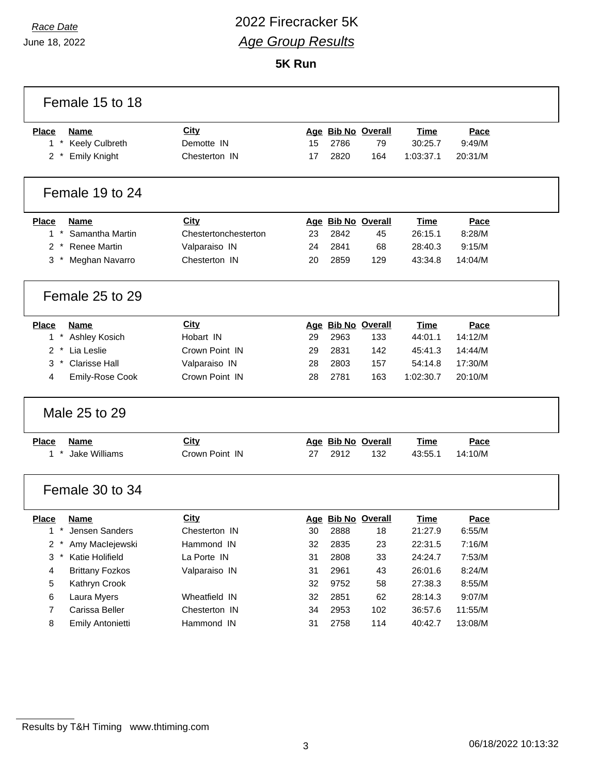## *Race Date* 2022 Firecracker 5K *Age Group Results*

**5K Run**

| Female 15 to 18                         |                      |    |      |                    |             |         |  |
|-----------------------------------------|----------------------|----|------|--------------------|-------------|---------|--|
| <b>Place</b><br>Name                    | City                 |    |      | Age Bib No Overall | <b>Time</b> | Pace    |  |
| 1 * Keely Culbreth                      | Demotte IN           | 15 | 2786 | 79                 | 30:25.7     | 9:49/M  |  |
| <b>Emily Knight</b><br>$2^*$            | Chesterton IN        | 17 | 2820 | 164                | 1:03:37.1   | 20:31/M |  |
| Female 19 to 24                         |                      |    |      |                    |             |         |  |
| <b>Place</b><br>Name                    | <b>City</b>          |    |      | Age Bib No Overall | Time        | Pace    |  |
| $\star$<br>Samantha Martin<br>1         | Chestertonchesterton | 23 | 2842 | 45                 | 26:15.1     | 8:28/M  |  |
| 2 * Renee Martin                        | Valparaiso IN        | 24 | 2841 | 68                 | 28:40.3     | 9:15/M  |  |
| 3<br>Meghan Navarro                     | Chesterton IN        | 20 | 2859 | 129                | 43:34.8     | 14:04/M |  |
| Female 25 to 29                         |                      |    |      |                    |             |         |  |
| <b>Place</b><br><b>Name</b>             | <b>City</b>          |    |      | Age Bib No Overall | <b>Time</b> | Pace    |  |
| 1 * Ashley Kosich                       | Hobart IN            | 29 | 2963 | 133                | 44:01.1     | 14:12/M |  |
| Lia Leslie<br>$\overline{2}$<br>$\star$ | Crown Point IN       | 29 | 2831 | 142                | 45:41.3     | 14:44/M |  |
| <b>Clarisse Hall</b><br>3<br>$^{\star}$ | Valparaiso IN        | 28 | 2803 | 157                | 54:14.8     | 17:30/M |  |
| Emily-Rose Cook<br>4                    | Crown Point IN       | 28 | 2781 | 163                | 1:02:30.7   | 20:10/M |  |
| Male 25 to 29                           |                      |    |      |                    |             |         |  |
| <b>Place</b><br>Name                    | <b>City</b>          |    |      | Age Bib No Overall | Time        | Pace    |  |
| $1 *$<br>Jake Williams                  | Crown Point IN       | 27 | 2912 | 132                | 43:55.1     | 14:10/M |  |
| Female 30 to 34                         |                      |    |      |                    |             |         |  |
| <b>Place</b><br>Name                    | City                 |    |      | Age Bib No Overall | Time        | Pace    |  |
| 1 * Jensen Sanders                      | Chesterton IN        | 30 | 2888 | 18                 | 21:27.9     | 6:55/M  |  |
| Amy Maclejewski<br>2 *                  | Hammond IN           | 32 | 2835 | 23                 | 22:31.5     | 7:16/M  |  |
| $3*$<br>Katie Holifield                 | La Porte IN          | 31 | 2808 | 33                 | 24:24.7     | 7:53/M  |  |
| <b>Brittany Fozkos</b><br>4             | Valparaiso IN        | 31 | 2961 | 43                 | 26:01.6     | 8:24/M  |  |
| 5<br>Kathryn Crook                      |                      | 32 | 9752 | 58                 | 27:38.3     | 8:55/M  |  |
| Laura Myers<br>6                        | Wheatfield IN        | 32 | 2851 | 62                 | 28:14.3     | 9:07/M  |  |
| 7<br>Carissa Beller                     | Chesterton IN        | 34 | 2953 | 102                | 36:57.6     | 11:55/M |  |
| 8<br>Emily Antonietti                   | Hammond IN           | 31 | 2758 | 114                | 40:42.7     | 13:08/M |  |

٦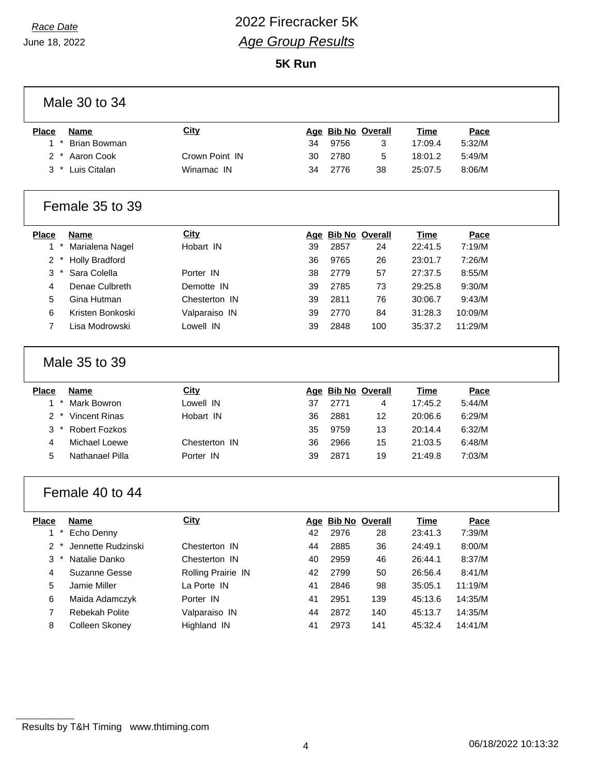## *Race Date* 2022 Firecracker 5K *Age Group Results*

**5K Run**

| Male 30 to 34                            |                    |            |      |                       |             |         |
|------------------------------------------|--------------------|------------|------|-----------------------|-------------|---------|
| <b>Place</b><br>Name                     | <b>City</b>        |            |      | Age Bib No Overall    | Time        | Pace    |
| $\pmb{\ast}$<br><b>Brian Bowman</b><br>1 |                    | 34         | 9756 | 3                     | 17:09.4     | 5:32/M  |
| Aaron Cook<br>2                          | Crown Point IN     | 30         | 2780 | 5                     | 18:01.2     | 5:49/M  |
| $^\star$<br>Luis Citalan<br>3            | Winamac IN         | 34         | 2776 | 38                    | 25:07.5     | 8:06/M  |
| Female 35 to 39                          |                    |            |      |                       |             |         |
| <b>Place</b><br><b>Name</b>              | <b>City</b>        | <u>Age</u> |      | <b>Bib No Overall</b> | <b>Time</b> | Pace    |
| Marialena Nagel<br>$\mathbf{1}$          | Hobart IN          | 39         | 2857 | 24                    | 22:41.5     | 7:19/M  |
| 2<br><b>Holly Bradford</b>               |                    | 36         | 9765 | 26                    | 23:01.7     | 7:26/M  |
| Sara Colella<br>3                        | Porter IN          | 38         | 2779 | 57                    | 27:37.5     | 8:55/M  |
| 4<br>Denae Culbreth                      | Demotte IN         | 39         | 2785 | 73                    | 29:25.8     | 9:30/M  |
| Gina Hutman<br>5                         | Chesterton IN      | 39         | 2811 | 76                    | 30:06.7     | 9:43/M  |
| 6<br>Kristen Bonkoski                    | Valparaiso IN      | 39         | 2770 | 84                    | 31:28.3     | 10:09/M |
| $\overline{7}$<br>Lisa Modrowski         | Lowell IN          | 39         | 2848 | 100                   | 35:37.2     | 11:29/M |
| Male 35 to 39                            |                    |            |      |                       |             |         |
| <b>Place</b><br><b>Name</b>              | City               |            |      | Age Bib No Overall    | <b>Time</b> | Pace    |
| $\star$<br><b>Mark Bowron</b><br>1       | Lowell IN          | 37         | 2771 | 4                     | 17:45.2     | 5:44/M  |
| <b>Vincent Rinas</b><br>2<br>$\ast$      | Hobart IN          | 36         | 2881 | 12                    | 20:06.6     | 6:29/M  |
| 3<br><b>Robert Fozkos</b>                |                    | 35         | 9759 | 13                    | 20:14.4     | 6:32/M  |
| <b>Michael Loewe</b><br>4                | Chesterton IN      | 36         | 2966 | 15                    | 21:03.5     | 6:48/M  |
| 5<br>Nathanael Pilla                     | Porter IN          | 39         | 2871 | 19                    | 21:49.8     | 7:03/M  |
| Female 40 to 44                          |                    |            |      |                       |             |         |
| <b>Place</b><br><b>Name</b>              | <b>City</b>        |            |      | Age Bib No Overall    | <b>Time</b> | Pace    |
| 1 * Echo Denny                           |                    | 42         | 2976 | 28                    | 23:41.3     | 7:39/M  |
| 2<br>Jennette Rudzinski                  | Chesterton IN      | 44         | 2885 | 36                    | 24:49.1     | 8:00/M  |
| 3<br>Natalie Danko                       | Chesterton IN      | 40         | 2959 | 46                    | 26:44.1     | 8:37/M  |
| Suzanne Gesse<br>4                       | Rolling Prairie IN | 42         | 2799 | 50                    | 26:56.4     | 8:41/M  |
| 5<br>Jamie Miller                        | La Porte IN        | 41         | 2846 | 98                    | 35:05.1     | 11:19/M |
| Maida Adamczyk<br>6                      | Porter IN          | 41         | 2951 | 139                   | 45:13.6     | 14:35/M |
| Rebekah Polite<br>7                      | Valparaiso IN      | 44         | 2872 | 140                   | 45:13.7     | 14:35/M |
| Colleen Skoney<br>8                      | Highland IN        | 41         | 2973 | 141                   | 45:32.4     | 14:41/M |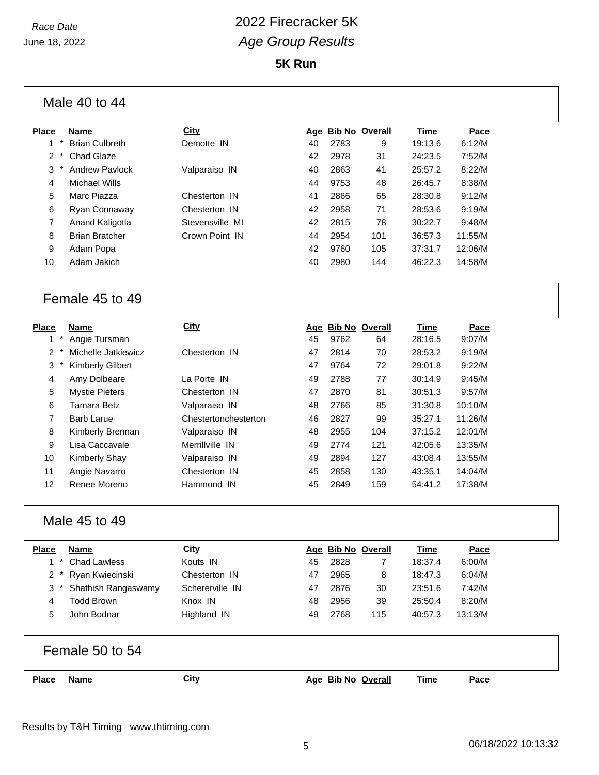# *Race Date* 2022 Firecracker 5K *Age Group Results*

**5K Run**

|                           | Male 40 to 44                |                      |    |      |                          |                 |                |  |
|---------------------------|------------------------------|----------------------|----|------|--------------------------|-----------------|----------------|--|
| <b>Place</b>              | <b>Name</b>                  | City                 |    |      | Age Bib No Overall       | <b>Time</b>     | Pace           |  |
| $1 *$                     | <b>Brian Culbreth</b>        | Demotte IN           | 40 | 2783 | 9                        | 19:13.6         | 6:12/M         |  |
| $\overline{2}$            | Chad Glaze                   |                      | 42 | 2978 | 31                       | 24:23.5         | 7:52/M         |  |
| 3                         | <b>Andrew Pavlock</b>        | Valparaiso IN        | 40 | 2863 | 41                       | 25:57.2         | 8:22/M         |  |
| 4                         | <b>Michael Wills</b>         |                      | 44 | 9753 | 48                       | 26:45.7         | 8:38/M         |  |
| 5                         | Marc Piazza                  | Chesterton IN        | 41 | 2866 | 65                       | 28:30.8         | 9:12/M         |  |
| 6                         | Ryan Connaway                | Chesterton IN        | 42 | 2958 | 71                       | 28:53.6         | 9:19/M         |  |
| 7                         | Anand Kaligotla              | Stevensville MI      | 42 | 2815 | 78                       | 30:22.7         | 9:48/M         |  |
| 8                         | <b>Brian Bratcher</b>        | Crown Point IN       | 44 | 2954 | 101                      | 36:57.3         | 11:55/M        |  |
| 9                         | Adam Popa                    |                      | 42 | 9760 | 105                      | 37:31.7         | 12:06/M        |  |
| 10                        | Adam Jakich                  |                      | 40 | 2980 | 144                      | 46:22.3         | 14:58/M        |  |
|                           | Female 45 to 49              |                      |    |      |                          |                 |                |  |
| <b>Place</b><br>$1 *$     | <b>Name</b><br>Angie Tursman | <b>City</b>          | 45 | 9762 | Age Bib No Overall<br>64 | Time<br>28:16.5 | Pace<br>9:07/M |  |
| $2^*$                     | Michelle Jatkiewicz          | Chesterton IN        | 47 | 2814 | 70                       | 28:53.2         | 9:19/M         |  |
| 3                         | <b>Kimberly Gilbert</b>      |                      | 47 | 9764 | 72                       | 29:01.8         | 9:22/M         |  |
| 4                         | Amy Dolbeare                 | La Porte IN          | 49 | 2788 | 77                       | 30:14.9         | 9:45/M         |  |
| 5                         | <b>Mystie Pieters</b>        | Chesterton IN        | 47 | 2870 | 81                       | 30:51.3         | 9:57/M         |  |
| 6                         | <b>Tamara Betz</b>           | Valparaiso IN        | 48 | 2766 | 85                       | 31:30.8         | 10:10/M        |  |
| 7                         | <b>Barb Larue</b>            | Chestertonchesterton | 46 | 2827 | 99                       | 35:27.1         | 11:26/M        |  |
| 8                         | Kimberly Brennan             | Valparaiso IN        | 48 | 2955 | 104                      | 37:15.2         | 12:01/M        |  |
| 9                         | Lisa Caccavale               | Merrillville IN      | 49 | 2774 | 121                      | 42:05.6         | 13:35/M        |  |
| 10                        | Kimberly Shay                | Valparaiso IN        | 49 | 2894 | 127                      | 43:08.4         | 13:55/M        |  |
| 11                        | Angie Navarro                | Chesterton IN        | 45 | 2858 | 130                      | 43:35.1         | 14:04/M        |  |
| 12                        | Renee Moreno                 | Hammond IN           | 45 | 2849 | 159                      | 54:41.2         | 17:38/M        |  |
|                           | Male 45 to 49                |                      |    |      |                          |                 |                |  |
| <b>Place</b>              | <b>Name</b>                  | <b>City</b>          |    |      | Age Bib No Overall       | <b>Time</b>     | Pace           |  |
| $1*$                      | <b>Chad Lawless</b>          | Kouts IN             | 45 | 2828 | 7                        | 18:37.4         | 6:00/M         |  |
| $\overline{2}$<br>$\cdot$ | Ryan Kwiecinski              | Chesterton IN        | 47 | 2965 | 8                        | 18:47.3         | 6:04/M         |  |
| 3                         | Shathish Rangaswamy          | Schererville IN      | 47 | 2876 | 30                       | 23:51.6         | 7:42/M         |  |
| 4                         | <b>Todd Brown</b>            | Knox IN              | 48 | 2956 | 39                       | 25:50.4         | 8:20/M         |  |
| 5                         | John Bodnar                  | Highland IN          | 49 | 2768 | 115                      | 40:57.3         | 13:13/M        |  |
|                           | Female 50 to 54              |                      |    |      |                          |                 |                |  |
| <b>Place</b>              | <b>Name</b>                  | <b>City</b>          |    |      | Age Bib No Overall       | <b>Time</b>     | Pace           |  |
|                           |                              |                      |    |      |                          |                 |                |  |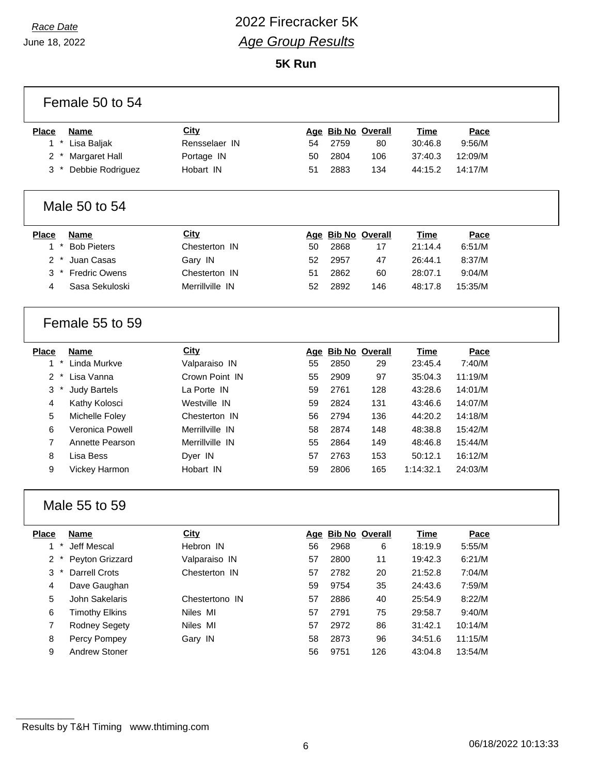## *Race Date* 2022 Firecracker 5K *Age Group Results*

**5K Run**

| Female 50 to 54                        |                 |    |      |                    |             |         |  |
|----------------------------------------|-----------------|----|------|--------------------|-------------|---------|--|
| <b>Place</b><br><b>Name</b>            | <b>City</b>     |    |      | Age Bib No Overall | <b>Time</b> | Pace    |  |
| $\star$<br>$\mathbf{1}$<br>Lisa Baljak | Rensselaer IN   | 54 | 2759 | 80                 | 30:46.8     | 9:56/M  |  |
| <b>Margaret Hall</b><br>2              | Portage IN      | 50 | 2804 | 106                | 37:40.3     | 12:09/M |  |
| 3<br>Debbie Rodriguez                  | Hobart IN       | 51 | 2883 | 134                | 44:15.2     | 14:17/M |  |
|                                        |                 |    |      |                    |             |         |  |
| Male 50 to 54                          |                 |    |      |                    |             |         |  |
| <b>Place</b><br><b>Name</b>            | <b>City</b>     |    |      | Age Bib No Overall | <b>Time</b> | Pace    |  |
| $\star$<br>1<br><b>Bob Pieters</b>     | Chesterton IN   | 50 | 2868 | 17                 | 21:14.4     | 6:51/M  |  |
| $\overline{2}$<br>Juan Casas           | Gary IN         | 52 | 2957 | 47                 | 26:44.1     | 8:37/M  |  |
| <b>Fredric Owens</b><br>3              | Chesterton IN   | 51 | 2862 | 60                 | 28:07.1     | 9:04/M  |  |
| Sasa Sekuloski<br>4                    | Merrillville IN | 52 | 2892 | 146                | 48:17.8     | 15:35/M |  |
| Female 55 to 59                        |                 |    |      |                    |             |         |  |
| <b>Place</b><br><b>Name</b>            | <b>City</b>     |    |      | Age Bib No Overall | Time        | Pace    |  |
| $\star$<br>1<br>Linda Murkve           | Valparaiso IN   | 55 | 2850 | 29                 | 23:45.4     | 7:40/M  |  |
| $\overline{2}$<br>Lisa Vanna           | Crown Point IN  | 55 | 2909 | 97                 | 35:04.3     | 11:19/M |  |
| 3<br><b>Judy Bartels</b>               | La Porte IN     | 59 | 2761 | 128                | 43:28.6     | 14:01/M |  |
| 4<br>Kathy Kolosci                     | Westville IN    | 59 | 2824 | 131                | 43:46.6     | 14:07/M |  |
| 5<br>Michelle Foley                    | Chesterton IN   | 56 | 2794 | 136                | 44:20.2     | 14:18/M |  |
| Veronica Powell<br>6                   | Merrillville IN | 58 | 2874 | 148                | 48:38.8     | 15:42/M |  |
| $\overline{7}$<br>Annette Pearson      | Merrillville IN | 55 | 2864 | 149                | 48:46.8     | 15:44/M |  |
| 8<br>Lisa Bess                         | Dyer IN         | 57 | 2763 | 153                | 50:12.1     | 16:12/M |  |
| 9<br>Vickey Harmon                     | Hobart IN       | 59 | 2806 | 165                | 1:14:32.1   | 24:03/M |  |
| Male 55 to 59                          |                 |    |      |                    |             |         |  |
| <b>Place</b><br><b>Name</b>            | <b>City</b>     |    |      | Age Bib No Overall | <b>Time</b> | Pace    |  |
| $\star$<br>Jeff Mescal<br>1            | Hebron IN       | 56 | 2968 | 6                  | 18:19.9     | 5:55/M  |  |
| $\overline{2}$<br>Peyton Grizzard      | Valparaiso IN   | 57 | 2800 | 11                 | 19:42.3     | 6:21/M  |  |
| 3<br>Darrell Crots                     | Chesterton IN   | 57 | 2782 | 20                 | 21:52.8     | 7:04/M  |  |
| 4<br>Dave Gaughan                      |                 | 59 | 9754 | 35                 | 24:43.6     | 7:59/M  |  |
| 5<br>John Sakelaris                    | Chestertono IN  | 57 | 2886 | 40                 | 25:54.9     | 8:22/M  |  |
| <b>Timothy Elkins</b><br>6             | Niles MI        | 57 | 2791 | 75                 | 29:58.7     | 9:40/M  |  |
| $\overline{7}$<br><b>Rodney Segety</b> | Niles MI        | 57 | 2972 | 86                 | 31:42.1     | 10:14/M |  |
| 8<br>Percy Pompey                      | Gary IN         | 58 | 2873 | 96                 | 34:51.6     | 11:15/M |  |
| 9<br>Andrew Stoner                     |                 | 56 | 9751 | 126                | 43:04.8     | 13:54/M |  |
|                                        |                 |    |      |                    |             |         |  |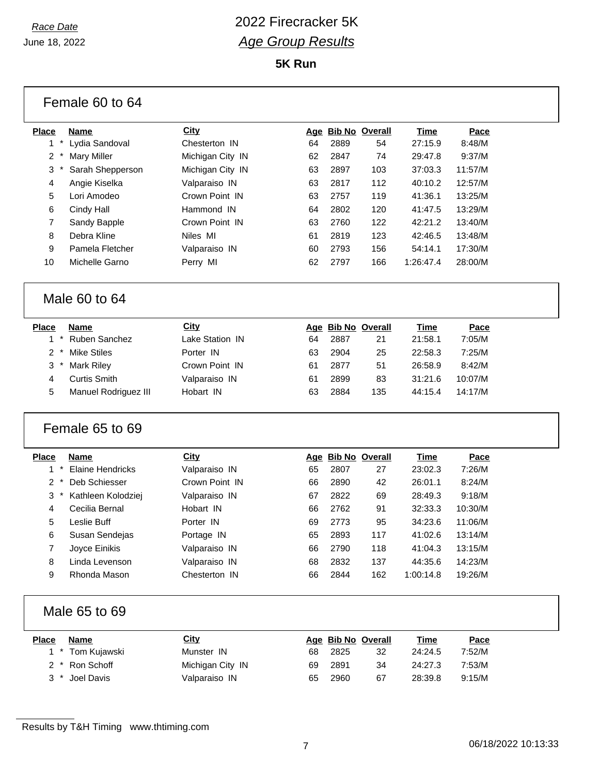# *Race Date* 2022 Firecracker 5K *Age Group Results*

**5K Run**

| Female 60 to 64 |                         |                  |    |      |                    |             |         |  |
|-----------------|-------------------------|------------------|----|------|--------------------|-------------|---------|--|
| <b>Place</b>    | Name                    | City             |    |      | Age Bib No Overall | <b>Time</b> | Pace    |  |
| $1*$            | Lydia Sandoval          | Chesterton IN    | 64 | 2889 | 54                 | 27:15.9     | 8:48/M  |  |
| 2               | <b>Mary Miller</b>      | Michigan City IN | 62 | 2847 | 74                 | 29:47.8     | 9:37/M  |  |
| 3<br>$\ast$     | Sarah Shepperson        | Michigan City IN | 63 | 2897 | 103                | 37:03.3     | 11:57/M |  |
| 4               | Angie Kiselka           | Valparaiso IN    | 63 | 2817 | 112                | 40:10.2     | 12:57/M |  |
| 5               | Lori Amodeo             | Crown Point IN   | 63 | 2757 | 119                | 41:36.1     | 13:25/M |  |
| 6               | Cindy Hall              | Hammond IN       | 64 | 2802 | 120                | 41:47.5     | 13:29/M |  |
| 7               | Sandy Bapple            | Crown Point IN   | 63 | 2760 | 122                | 42:21.2     | 13:40/M |  |
| 8               | Debra Kline             | Niles MI         | 61 | 2819 | 123                | 42:46.5     | 13:48/M |  |
| 9               | Pamela Fletcher         | Valparaiso IN    | 60 | 2793 | 156                | 54:14.1     | 17:30/M |  |
| 10              | Michelle Garno          | Perry MI         | 62 | 2797 | 166                | 1:26:47.4   | 28:00/M |  |
|                 |                         |                  |    |      |                    |             |         |  |
|                 | Male 60 to 64           |                  |    |      |                    |             |         |  |
| <b>Place</b>    | <b>Name</b>             | City             |    |      | Age Bib No Overall | <b>Time</b> | Pace    |  |
| $\star$<br>1    | Ruben Sanchez           | Lake Station IN  | 64 | 2887 | 21                 | 21:58.1     | 7:05/M  |  |
| 2               | <b>Mike Stiles</b>      | Porter IN        | 63 | 2904 | 25                 | 22:58.3     | 7:25/M  |  |
| 3               | <b>Mark Riley</b>       | Crown Point IN   | 61 | 2877 | 51                 | 26:58.9     | 8:42/M  |  |
| 4               | <b>Curtis Smith</b>     | Valparaiso IN    | 61 | 2899 | 83                 | 31:21.6     | 10:07/M |  |
| 5               | Manuel Rodriguez III    | Hobart IN        | 63 | 2884 | 135                | 44:15.4     | 14:17/M |  |
|                 | Female 65 to 69         |                  |    |      |                    |             |         |  |
| <b>Place</b>    | <b>Name</b>             | City             |    |      | Age Bib No Overall | <b>Time</b> | Pace    |  |
| $^\star$<br>1   | <b>Elaine Hendricks</b> | Valparaiso IN    | 65 | 2807 | 27                 | 23:02.3     | 7:26/M  |  |
| 2               | Deb Schiesser           | Crown Point IN   | 66 | 2890 | 42                 | 26:01.1     | 8:24/M  |  |
| 3               | Kathleen Kolodziej      | Valparaiso IN    | 67 | 2822 | 69                 | 28:49.3     | 9:18/M  |  |
| 4               | Cecilia Bernal          | Hobart IN        | 66 | 2762 | 91                 | 32:33.3     | 10:30/M |  |
| 5               | Leslie Buff             | Porter IN        | 69 | 2773 | 95                 | 34:23.6     | 11:06/M |  |
| 6               | Susan Sendejas          | Portage IN       | 65 | 2893 | 117                | 41:02.6     | 13:14/M |  |
| 7               | Joyce Einikis           | Valparaiso IN    | 66 | 2790 | 118                | 41:04.3     | 13:15/M |  |
| 8               | Linda Levenson          | Valparaiso IN    | 68 | 2832 | 137                | 44:35.6     | 14:23/M |  |
| 9               | Rhonda Mason            | Chesterton IN    | 66 | 2844 | 162                | 1:00:14.8   | 19:26/M |  |
|                 | Male 65 to 69           |                  |    |      |                    |             |         |  |
| <b>Place</b>    | <b>Name</b>             | <b>City</b>      |    |      | Age Bib No Overall | <b>Time</b> | Pace    |  |
| $1*$            | Tom Kujawski            | Munster IN       | 68 | 2825 | 32                 | 24:24.5     | 7:52/M  |  |
| 2               | Ron Schoff              | Michigan City IN | 69 | 2891 | 34                 | 24:27.3     | 7:53/M  |  |
| 3               | Joel Davis              | Valparaiso IN    | 65 | 2960 | 67                 | 28:39.8     | 9:15/M  |  |
|                 |                         |                  |    |      |                    |             |         |  |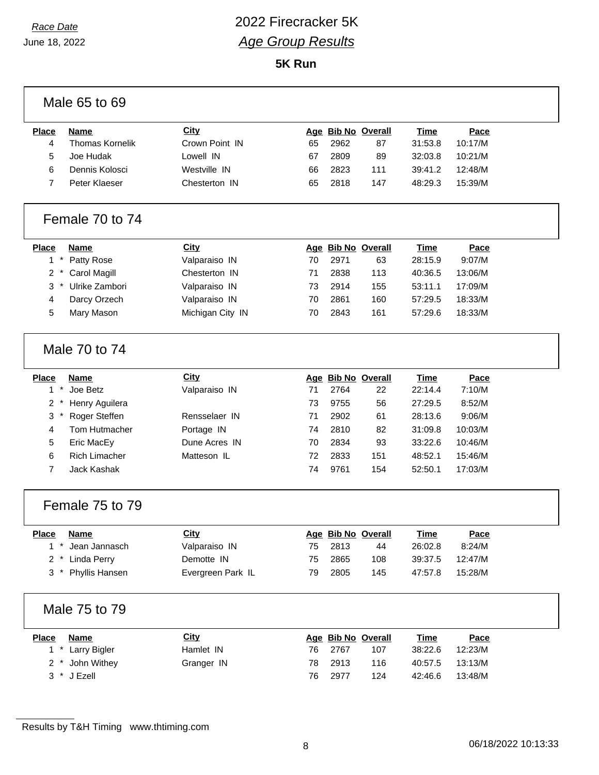## *Race Date* 2022 Firecracker 5K *Age Group Results*

**5K Run**

|                           | Male 65 to 69          |                   |    |      |                    |             |         |
|---------------------------|------------------------|-------------------|----|------|--------------------|-------------|---------|
| <b>Place</b>              | <b>Name</b>            | City              |    |      | Age Bib No Overall | <b>Time</b> | Pace    |
| 4                         | <b>Thomas Kornelik</b> | Crown Point IN    | 65 | 2962 | 87                 | 31:53.8     | 10:17/M |
| 5                         | Joe Hudak              | Lowell IN         | 67 | 2809 | 89                 | 32:03.8     | 10:21/M |
| 6                         | Dennis Kolosci         | Westville IN      | 66 | 2823 | 111                | 39:41.2     | 12:48/M |
| $\overline{7}$            | Peter Klaeser          | Chesterton IN     | 65 | 2818 | 147                | 48:29.3     | 15:39/M |
|                           | Female 70 to 74        |                   |    |      |                    |             |         |
| <b>Place</b>              | <b>Name</b>            | City              |    |      | Age Bib No Overall | <b>Time</b> | Pace    |
| $1 *$                     | Patty Rose             | Valparaiso IN     | 70 | 2971 | 63                 | 28:15.9     | 9:07/M  |
| $\overline{2}$<br>$\star$ | <b>Carol Magill</b>    | Chesterton IN     | 71 | 2838 | 113                | 40:36.5     | 13:06/M |
| $\star$<br>3              | Ulrike Zambori         | Valparaiso IN     | 73 | 2914 | 155                | 53:11.1     | 17:09/M |
| 4                         | Darcy Orzech           | Valparaiso IN     | 70 | 2861 | 160                | 57:29.5     | 18:33/M |
| 5                         | Mary Mason             | Michigan City IN  | 70 | 2843 | 161                | 57:29.6     | 18:33/M |
|                           | Male 70 to 74          |                   |    |      |                    |             |         |
| <b>Place</b>              | <b>Name</b>            | <b>City</b>       |    |      | Age Bib No Overall | <b>Time</b> | Pace    |
| $1*$                      | Joe Betz               | Valparaiso IN     | 71 | 2764 | 22                 | 22:14.4     | 7:10/M  |
| $\overline{2}$<br>$\star$ | Henry Aguilera         |                   | 73 | 9755 | 56                 | 27:29.5     | 8:52/M  |
| 3                         | Roger Steffen          | Rensselaer IN     | 71 | 2902 | 61                 | 28:13.6     | 9:06/M  |
| 4                         | Tom Hutmacher          | Portage IN        | 74 | 2810 | 82                 | 31:09.8     | 10:03/M |
| 5                         | Eric MacEy             | Dune Acres IN     | 70 | 2834 | 93                 | 33:22.6     | 10:46/M |
| 6                         | <b>Rich Limacher</b>   | Matteson IL       | 72 | 2833 | 151                | 48:52.1     | 15:46/M |
| $\overline{7}$            | Jack Kashak            |                   | 74 | 9761 | 154                | 52:50.1     | 17:03/M |
|                           | Female 75 to 79        |                   |    |      |                    |             |         |
| <b>Place</b>              | <b>Name</b>            | <b>City</b>       |    |      | Age Bib No Overall | <b>Time</b> | Pace    |
| $1*$                      | Jean Jannasch          | Valparaiso IN     | 75 | 2813 | 44                 | 26:02.8     | 8:24/M  |
| $2^*$                     | Linda Perry            | Demotte IN        | 75 | 2865 | 108                | 39:37.5     | 12:47/M |
|                           | 3 * Phyllis Hansen     | Evergreen Park IL | 79 | 2805 | 145                | 47:57.8     | 15:28/M |
|                           |                        |                   |    |      |                    |             |         |
|                           | Male 75 to 79          |                   |    |      |                    |             |         |
| <b>Place</b>              | <b>Name</b>            | <b>City</b>       |    |      | Age Bib No Overall | <u>Time</u> | Pace    |
|                           | 1 * Larry Bigler       | Hamlet IN         | 76 | 2767 | 107                | 38:22.6     | 12:23/M |
|                           | 2 * John Withey        | Granger IN        | 78 | 2913 | 116                | 40:57.5     | 13:13/M |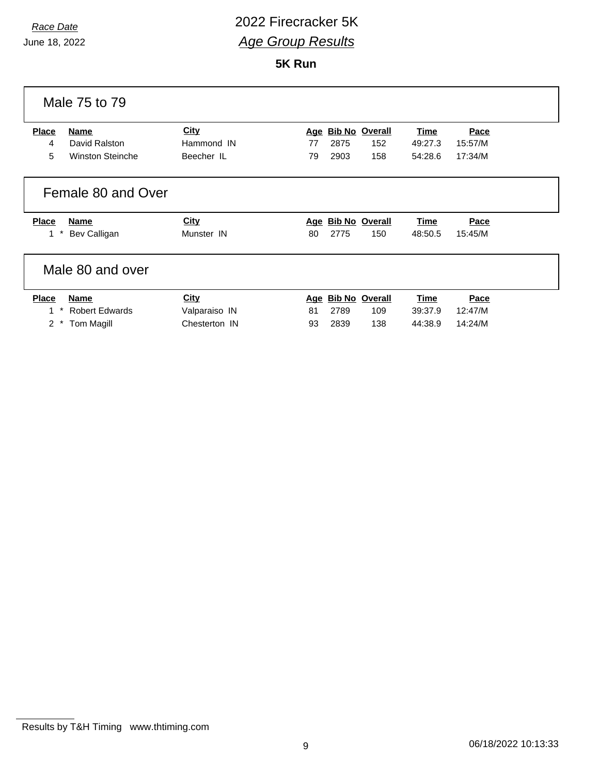## *Race Date* 2022 Firecracker 5K *Age Group Results*

**5K Run**

|                      | Male 75 to 79           |               |            |      |                       |             |         |
|----------------------|-------------------------|---------------|------------|------|-----------------------|-------------|---------|
| <b>Place</b>         | Name                    | <b>City</b>   | <u>Age</u> |      | <b>Bib No Overall</b> | Time        | Pace    |
| 4                    | David Ralston           | Hammond IN    | 77         | 2875 | 152                   | 49:27.3     | 15:57/M |
| 5                    | <b>Winston Steinche</b> | Beecher IL    | 79         | 2903 | 158                   | 54:28.6     | 17:34/M |
|                      | Female 80 and Over      |               |            |      |                       |             |         |
| <b>Place</b>         | <b>Name</b>             | <b>City</b>   |            |      | Age Bib No Overall    | Time        | Pace    |
| 1                    | Bev Calligan            | Munster IN    | 80         | 2775 | 150                   | 48:50.5     | 15:45/M |
|                      | Male 80 and over        |               |            |      |                       |             |         |
| <b>Place</b>         | <b>Name</b>             | <b>City</b>   |            |      | Age Bib No Overall    | <b>Time</b> | Pace    |
| 1                    | <b>Robert Edwards</b>   | Valparaiso IN | 81         | 2789 | 109                   | 39:37.9     | 12:47/M |
| $\mathbf{2}^{\circ}$ | Tom Magill              | Chesterton IN | 93         | 2839 | 138                   | 44:38.9     | 14:24/M |